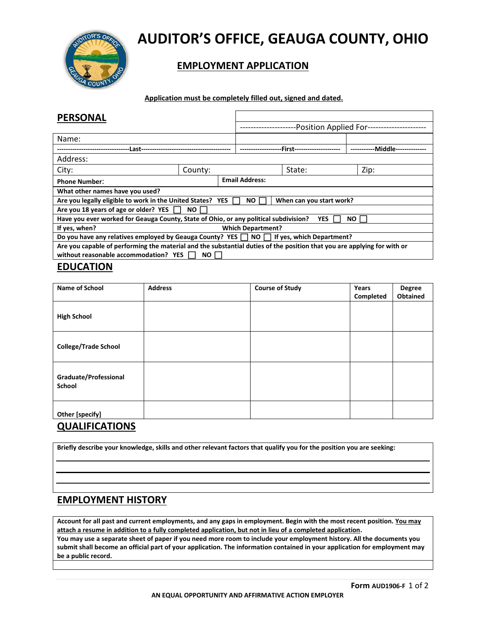

# **AUDITOR'S OFFICE, GEAUGA COUNTY, OHIO**

## **EMPLOYMENT APPLICATION**

 **Application must be completely filled out, signed and dated.**

| <b>PERSONAL</b>                                                                                                         |                          |                                            |                       |            |          |
|-------------------------------------------------------------------------------------------------------------------------|--------------------------|--------------------------------------------|-----------------------|------------|----------|
|                                                                                                                         |                          | -Position Applied For--------------------- |                       |            |          |
| Name:                                                                                                                   |                          |                                            |                       |            |          |
| Last-                                                                                                                   |                          |                                            | -First--              |            | -Middle- |
| Address:                                                                                                                |                          |                                            |                       |            |          |
| City:                                                                                                                   | County:                  |                                            |                       | State:     | Zip:     |
| <b>Phone Number:</b>                                                                                                    |                          |                                            | <b>Email Address:</b> |            |          |
| What other names have you used?                                                                                         |                          |                                            |                       |            |          |
| Are you legally eligible to work in the United States? YES<br>NO I<br>When can you start work?                          |                          |                                            |                       |            |          |
| Are you 18 years of age or older? YES                                                                                   | NO.                      |                                            |                       |            |          |
| Have you ever worked for Geauga County, State of Ohio, or any political subdivision?                                    |                          |                                            |                       | <b>YES</b> | NO I     |
| If yes, when?                                                                                                           | <b>Which Department?</b> |                                            |                       |            |          |
| Do you have any relatives employed by Geauga County? YES $\Box$ NO $\Box$ If yes, which Department?                     |                          |                                            |                       |            |          |
| Are you capable of performing the material and the substantial duties of the position that you are applying for with or |                          |                                            |                       |            |          |
| without reasonable accommodation? YES<br>NO .                                                                           |                          |                                            |                       |            |          |

#### **EDUCATION**

| Name of School                  | <b>Address</b> | <b>Course of Study</b> | Years<br>Completed | <b>Degree</b><br><b>Obtained</b> |
|---------------------------------|----------------|------------------------|--------------------|----------------------------------|
| <b>High School</b>              |                |                        |                    |                                  |
| <b>College/Trade School</b>     |                |                        |                    |                                  |
| Graduate/Professional<br>School |                |                        |                    |                                  |
| Other [specify]                 |                |                        |                    |                                  |

#### **QUALIFICATIONS**

**Briefly describe your knowledge, skills and other relevant factors that qualify you for the position you are seeking:** 

### **EMPLOYMENT HISTORY**

**Account for all past and current employments, and any gaps in employment. Begin with the most recent position. You may attach a resume in addition to a fully completed application, but not in lieu of a completed application. You may use a separate sheet of paper if you need more room to include your employment history. All the documents you** 

**submit shall become an official part of your application. The information contained in your application for employment may be a public record.**